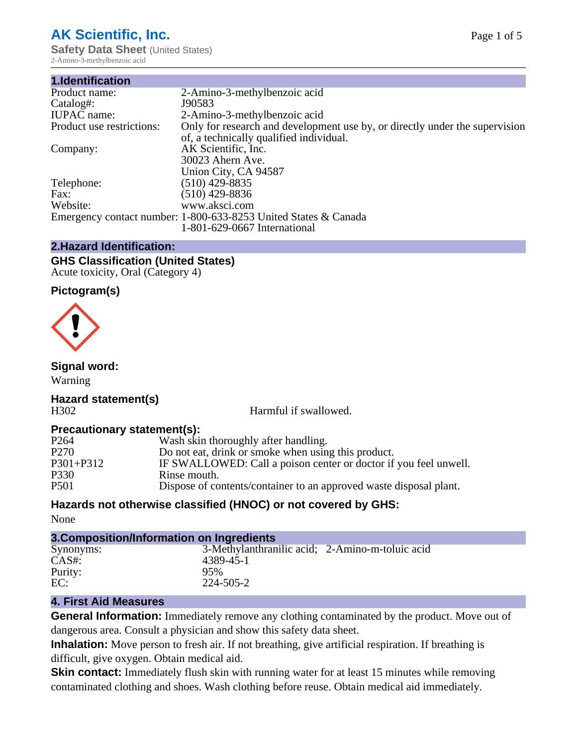# **AK Scientific, Inc.**

**Safety Data Sheet** (United States) 2-Amino-3-methylbenzoic acid

| 1.Identification          |                                                                             |
|---------------------------|-----------------------------------------------------------------------------|
| Product name:             | 2-Amino-3-methylbenzoic acid                                                |
| Catalog#:                 | J90583                                                                      |
| <b>IUPAC</b> name:        | 2-Amino-3-methylbenzoic acid                                                |
| Product use restrictions: | Only for research and development use by, or directly under the supervision |
|                           | of, a technically qualified individual.                                     |
| Company:                  | AK Scientific, Inc.                                                         |
|                           | 30023 Ahern Ave.                                                            |
|                           | Union City, CA 94587                                                        |
| Telephone:                | $(510)$ 429-8835                                                            |
| Fax:                      | $(510)$ 429-8836                                                            |
| Website:                  | www.aksci.com                                                               |
|                           | Emergency contact number: 1-800-633-8253 United States & Canada             |
|                           | 1-801-629-0667 International                                                |

# **2.Hazard Identification:**

### **GHS Classification (United States)** Acute toxicity, Oral (Category 4)

## **Pictogram(s)**



# **Signal word:**

Warning

### **Hazard statement(s)** H302 Harmful if swallowed.

# **Precautionary statement(s):**

| P <sub>264</sub> | Wash skin thoroughly after handling.                               |
|------------------|--------------------------------------------------------------------|
| P <sub>270</sub> | Do not eat, drink or smoke when using this product.                |
| P301+P312        | IF SWALLOWED: Call a poison center or doctor if you feel unwell.   |
| P330             | Rinse mouth.                                                       |
| P501             | Dispose of contents/container to an approved waste disposal plant. |

# **Hazards not otherwise classified (HNOC) or not covered by GHS:**

None

| 3. Composition/Information on Ingredients |                                                 |  |
|-------------------------------------------|-------------------------------------------------|--|
| Synonyms:                                 | 3-Methylanthranilic acid; 2-Amino-m-toluic acid |  |
| $CAS#$ :                                  | 4389-45-1                                       |  |
| Purity:                                   | 95%                                             |  |
| EC:                                       | 224-505-2                                       |  |

# **4. First Aid Measures**

**General Information:** Immediately remove any clothing contaminated by the product. Move out of dangerous area. Consult a physician and show this safety data sheet.

**Inhalation:** Move person to fresh air. If not breathing, give artificial respiration. If breathing is difficult, give oxygen. Obtain medical aid.

**Skin contact:** Immediately flush skin with running water for at least 15 minutes while removing contaminated clothing and shoes. Wash clothing before reuse. Obtain medical aid immediately.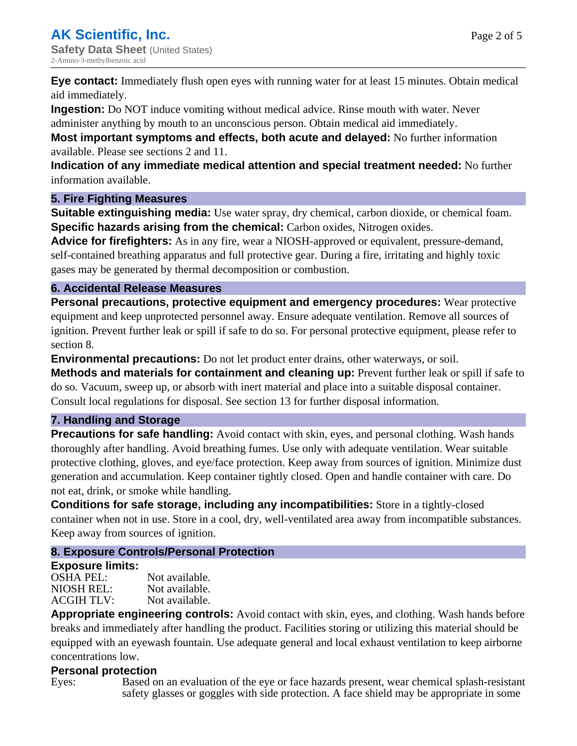Page 2 of 5

**Eye contact:** Immediately flush open eyes with running water for at least 15 minutes. Obtain medical aid immediately.

**Ingestion:** Do NOT induce vomiting without medical advice. Rinse mouth with water. Never

administer anything by mouth to an unconscious person. Obtain medical aid immediately.

**Most important symptoms and effects, both acute and delayed:** No further information available. Please see sections 2 and 11.

**Indication of any immediate medical attention and special treatment needed:** No further information available.

## **5. Fire Fighting Measures**

**Suitable extinguishing media:** Use water spray, dry chemical, carbon dioxide, or chemical foam. **Specific hazards arising from the chemical:** Carbon oxides, Nitrogen oxides.

**Advice for firefighters:** As in any fire, wear a NIOSH-approved or equivalent, pressure-demand, self-contained breathing apparatus and full protective gear. During a fire, irritating and highly toxic gases may be generated by thermal decomposition or combustion.

# **6. Accidental Release Measures**

**Personal precautions, protective equipment and emergency procedures:** Wear protective equipment and keep unprotected personnel away. Ensure adequate ventilation. Remove all sources of ignition. Prevent further leak or spill if safe to do so. For personal protective equipment, please refer to section 8.

**Environmental precautions:** Do not let product enter drains, other waterways, or soil.

**Methods and materials for containment and cleaning up:** Prevent further leak or spill if safe to do so. Vacuum, sweep up, or absorb with inert material and place into a suitable disposal container. Consult local regulations for disposal. See section 13 for further disposal information.

# **7. Handling and Storage**

**Precautions for safe handling:** Avoid contact with skin, eyes, and personal clothing. Wash hands thoroughly after handling. Avoid breathing fumes. Use only with adequate ventilation. Wear suitable protective clothing, gloves, and eye/face protection. Keep away from sources of ignition. Minimize dust generation and accumulation. Keep container tightly closed. Open and handle container with care. Do not eat, drink, or smoke while handling.

**Conditions for safe storage, including any incompatibilities:** Store in a tightly-closed container when not in use. Store in a cool, dry, well-ventilated area away from incompatible substances. Keep away from sources of ignition.

# **8. Exposure Controls/Personal Protection**

## **Exposure limits:**

OSHA PEL: Not available. NIOSH REL: Not available.<br>ACGIH TLV: Not available. ACGIH TLV:

**Appropriate engineering controls:** Avoid contact with skin, eyes, and clothing. Wash hands before breaks and immediately after handling the product. Facilities storing or utilizing this material should be equipped with an eyewash fountain. Use adequate general and local exhaust ventilation to keep airborne concentrations low.

# **Personal protection**

Eyes: Based on an evaluation of the eye or face hazards present, wear chemical splash-resistant safety glasses or goggles with side protection. A face shield may be appropriate in some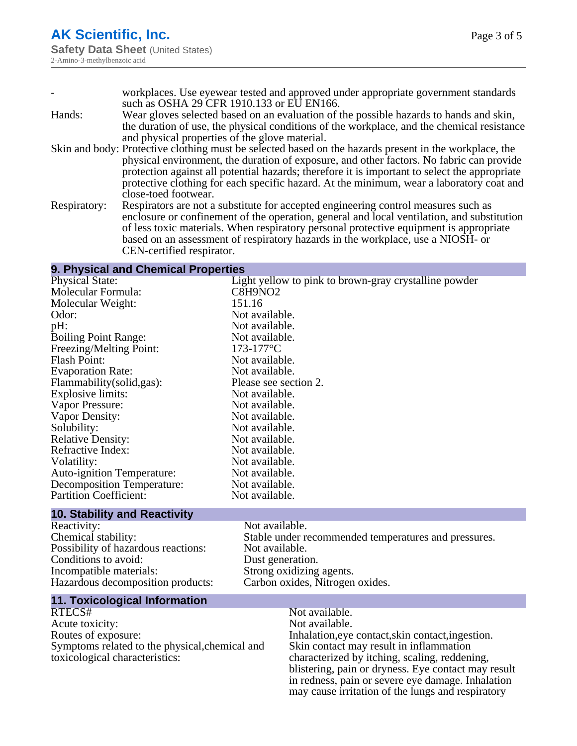|              | workplaces. Use eyewear tested and approved under appropriate government standards                     |
|--------------|--------------------------------------------------------------------------------------------------------|
|              | such as OSHA 29 CFR 1910.133 or EU EN166.                                                              |
| Hands:       | Wear gloves selected based on an evaluation of the possible hazards to hands and skin,                 |
|              | the duration of use, the physical conditions of the workplace, and the chemical resistance             |
|              | and physical properties of the glove material.                                                         |
|              | Skin and body: Protective clothing must be selected based on the hazards present in the workplace, the |
|              | physical environment, the duration of exposure, and other factors. No fabric can provide               |
|              | protection against all potential hazards; therefore it is important to select the appropriate          |
|              | protective clothing for each specific hazard. At the minimum, wear a laboratory coat and               |
|              | close-toed footwear.                                                                                   |
| Respiratory: | Respirators are not a substitute for accepted engineering control measures such as                     |
|              | enclosure or confinement of the operation, general and local ventilation, and substitution             |
|              | of less toxic materials. When respiratory personal protective equipment is appropriate                 |
|              | based on an assessment of respiratory hazards in the workplace, use a NIOSH- or                        |

#### **9. Physical and Chemical Properties**

CEN-certified respirator.

| <b>Physical State:</b>              | Light yellow to pink to brown-gray crystalline powder |
|-------------------------------------|-------------------------------------------------------|
| Molecular Formula:                  | C8H9NO2                                               |
| Molecular Weight:                   | 151.16                                                |
| Odor:                               | Not available.                                        |
| pH:                                 | Not available.                                        |
| <b>Boiling Point Range:</b>         | Not available.                                        |
| Freezing/Melting Point:             | $173-177$ °C                                          |
| <b>Flash Point:</b>                 | Not available.                                        |
| <b>Evaporation Rate:</b>            | Not available.                                        |
| Flammability (solid, gas):          | Please see section 2.                                 |
| <b>Explosive limits:</b>            | Not available.                                        |
| Vapor Pressure:                     | Not available.                                        |
| Vapor Density:                      | Not available.                                        |
| Solubility:                         | Not available.                                        |
| <b>Relative Density:</b>            | Not available.                                        |
| Refractive Index:                   | Not available.                                        |
| Volatility:                         | Not available.                                        |
| <b>Auto-ignition Temperature:</b>   | Not available.                                        |
| <b>Decomposition Temperature:</b>   | Not available.                                        |
| <b>Partition Coefficient:</b>       | Not available.                                        |
| <b>10. Stability and Reactivity</b> |                                                       |

| Reactivity:                         | Not available.                  |
|-------------------------------------|---------------------------------|
| Chemical stability:                 | Stable under recommended temp   |
| Possibility of hazardous reactions: | Not available.                  |
| Conditions to avoid:                | Dust generation.                |
| Incompatible materials:             | Strong oxidizing agents.        |
| Hazardous decomposition products:   | Carbon oxides, Nitrogen oxides. |

Stable under recommended temperatures and pressures. Not available. Dust generation.

# **11. Toxicological Information**

Acute toxicity:<br>Routes of exposure: Symptoms related to the physical,chemical and toxicological characteristics:

# Not available.<br>Not available. Inhalation,eye contact, skin contact, ingestion. Skin contact may result in inflammation characterized by itching, scaling, reddening, blistering, pain or dryness. Eye contact may result in redness, pain or severe eye damage. Inhalation may cause irritation of the lungs and respiratory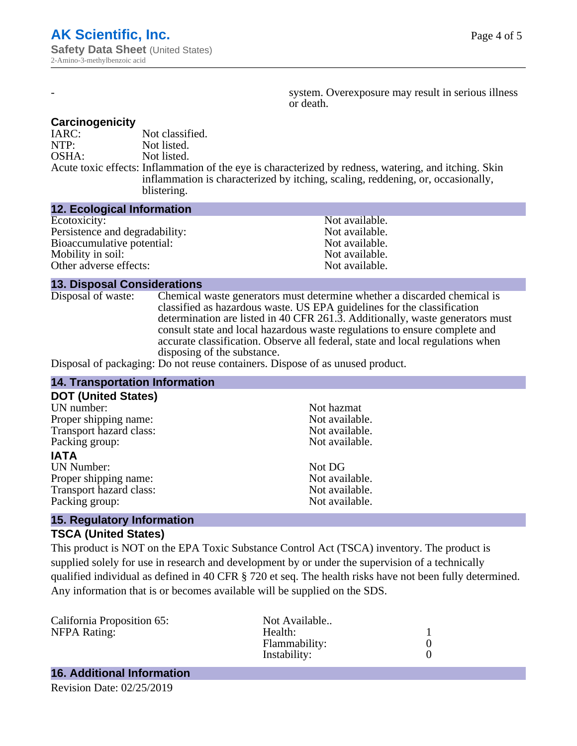system. Overexposure may result in serious illness or death.

### **Carcinogenicity**

IARC: Not classified.<br>
NOTP: Not listed. Not listed. OSHA: Not listed. Acute toxic effects: Inflammation of the eye is characterized by redness, watering, and itching. Skin inflammation is characterized by itching, scaling, reddening, or, occasionally, blistering.

### **12. Ecological Information**

| Not available. |
|----------------|
| Not available. |
| Not available. |
| Not available. |
| Not available. |
|                |

### **13. Disposal Considerations**

Disposal of waste: Chemical waste generators must determine whether a discarded chemical is classified as hazardous waste. US EPA guidelines for the classification determination are listed in 40 CFR 261.3. Additionally, waste generators must consult state and local hazardous waste regulations to ensure complete and accurate classification. Observe all federal, state and local regulations when disposing of the substance.

Disposal of packaging: Do not reuse containers. Dispose of as unused product.

| <b>14. Transportation Information</b>                             |                |  |
|-------------------------------------------------------------------|----------------|--|
| <b>DOT (United States)</b>                                        |                |  |
| UN number:                                                        | Not hazmat     |  |
| Proper shipping name:                                             | Not available. |  |
| Transport hazard class:                                           | Not available. |  |
| Packing group:                                                    | Not available. |  |
| <b>IATA</b>                                                       |                |  |
| <b>UN Number:</b>                                                 | Not DG         |  |
| Proper shipping name:                                             | Not available. |  |
| Transport hazard class:                                           | Not available. |  |
| Packing group:                                                    | Not available. |  |
| $\overline{AB}$ . Described a normalization at the $\overline{B}$ |                |  |

## **15. Regulatory Information TSCA (United States)**

This product is NOT on the EPA Toxic Substance Control Act (TSCA) inventory. The product is supplied solely for use in research and development by or under the supervision of a technically qualified individual as defined in 40 CFR § 720 et seq. The health risks have not been fully determined. Any information that is or becomes available will be supplied on the SDS.

| California Proposition 65: | Not Available |  |
|----------------------------|---------------|--|
| <b>NFPA Rating:</b>        | Health:       |  |
|                            | Flammability: |  |
|                            | Instability:  |  |
|                            |               |  |

# **16. Additional Information**

Revision Date: 02/25/2019